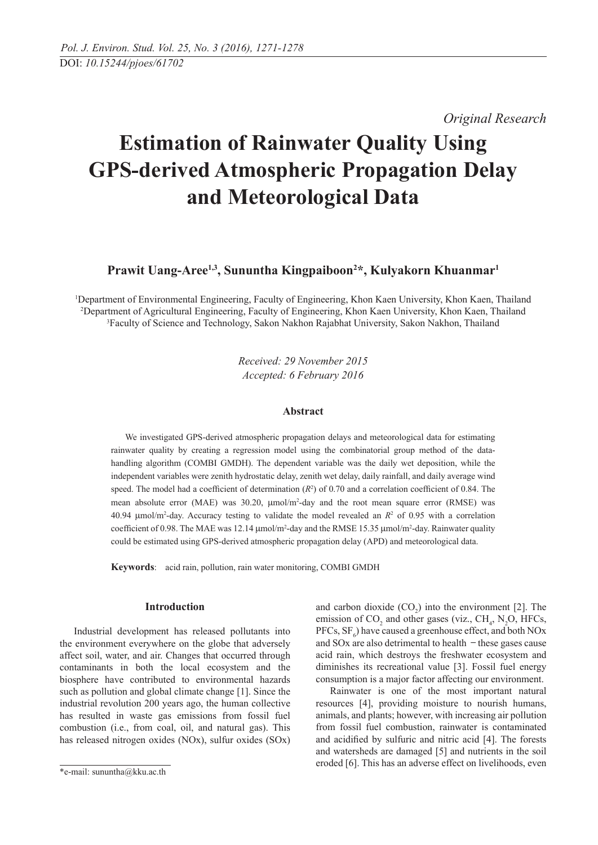*Original Research* 

# **Estimation of Rainwater Quality Using GPS-derived Atmospheric Propagation Delay and Meteorological Data**

**Prawit Uang-Aree1,3, Sununtha Kingpaiboon2 \*, Kulyakorn Khuanmar1**

1 Department of Environmental Engineering, Faculty of Engineering, Khon Kaen University, Khon Kaen, Thailand 2 Department of Agricultural Engineering, Faculty of Engineering, Khon Kaen University, Khon Kaen, Thailand 3 Faculty of Science and Technology, Sakon Nakhon Rajabhat University, Sakon Nakhon, Thailand

> *Received: 29 November 2015 Accepted: 6 February 2016*

# **Abstract**

We investigated GPS-derived atmospheric propagation delays and meteorological data for estimating rainwater quality by creating a regression model using the combinatorial group method of the datahandling algorithm (COMBI GMDH). The dependent variable was the daily wet deposition, while the independent variables were zenith hydrostatic delay, zenith wet delay, daily rainfall, and daily average wind speed. The model had a coefficient of determination  $(R^2)$  of 0.70 and a correlation coefficient of 0.84. The mean absolute error (MAE) was 30.20,  $\mu$ mol/m<sup>2</sup>-day and the root mean square error (RMSE) was 40.94  $\mu$ mol/m<sup>2</sup>-day. Accuracy testing to validate the model revealed an  $R^2$  of 0.95 with a correlation coefficient of 0.98. The MAE was  $12.14 \mu$ mol/m<sup>2</sup>-day and the RMSE 15.35  $\mu$ mol/m<sup>2</sup>-day. Rainwater quality could be estimated using GPS-derived atmospheric propagation delay (APD) and meteorological data.

**Keywords**: acid rain, pollution, rain water monitoring, COMBI GMDH

## **Introduction**

Industrial development has released pollutants into the environment everywhere on the globe that adversely affect soil, water, and air. Changes that occurred through contaminants in both the local ecosystem and the biosphere have contributed to environmental hazards such as pollution and global climate change [1]. Since the industrial revolution 200 years ago, the human collective has resulted in waste gas emissions from fossil fuel combustion (i.e., from coal, oil, and natural gas). This has released nitrogen oxides (NOx), sulfur oxides (SOx)

and carbon dioxide  $(CO_2)$  into the environment [2]. The emission of  $CO_2$  and other gases (viz.,  $CH_4$ , N<sub>2</sub>O, HFCs, PFCs,  $SF_6$ ) have caused a greenhouse effect, and both NOx and  $SOX$  are also detrimental to health  $-$  these gases cause acid rain, which destroys the freshwater ecosystem and diminishes its recreational value [3]. Fossil fuel energy consumption is a major factor affecting our environment.

Rainwater is one of the most important natural resources [4], providing moisture to nourish humans, animals, and plants; however, with increasing air pollution from fossil fuel combustion, rainwater is contaminated and acidified by sulfuric and nitric acid [4]. The forests and watersheds are damaged [5] and nutrients in the soil eroded [6]. This has an adverse effect on livelihoods, even

<sup>\*</sup>e-mail: sununtha@kku.ac.th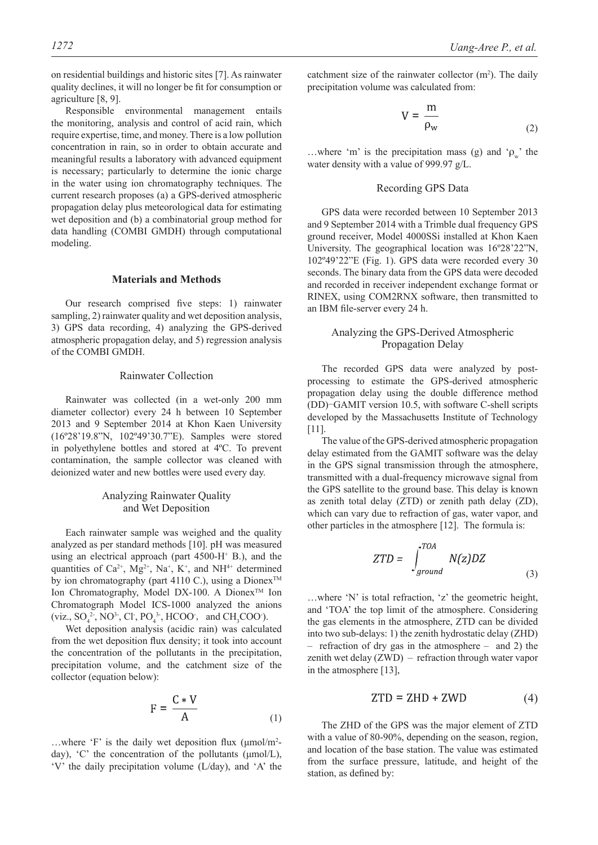on residential buildings and historic sites [7]. As rainwater quality declines, it will no longer be fit for consumption or agriculture [8, 9].

Responsible environmental management entails the monitoring, analysis and control of acid rain, which require expertise, time, and money. There is a low pollution concentration in rain, so in order to obtain accurate and meaningful results a laboratory with advanced equipment is necessary; particularly to determine the ionic charge in the water using ion chromatography techniques. The current research proposes (a) a GPS-derived atmospheric propagation delay plus meteorological data for estimating wet deposition and (b) a combinatorial group method for data handling (COMBI GMDH) through computational modeling.

# **Materials and Methods**

Our research comprised five steps: 1) rainwater sampling, 2) rainwater quality and wet deposition analysis, 3) GPS data recording, 4) analyzing the GPS-derived atmospheric propagation delay, and 5) regression analysis of the COMBI GMDH.

## Rainwater Collection

Rainwater was collected (in a wet-only 200 mm diameter collector) every 24 h between 10 September 2013 and 9 September 2014 at Khon Kaen University (16º28'19.8"N, 102º49'30.7"E). Samples were stored in polyethylene bottles and stored at 4ºC. To prevent contamination, the sample collector was cleaned with deionized water and new bottles were used every day.

# Analyzing Rainwater Quality and Wet Deposition

Each rainwater sample was weighed and the quality analyzed as per standard methods [10]. pH was measured using an electrical approach (part  $4500$ -H<sup>+</sup> B.), and the quantities of  $Ca^{2+}$ ,  $Mg^{2+}$ ,  $Na^{+}$ ,  $K^{+}$ , and  $NH^{4+}$  determined by ion chromatography (part 4110 C.), using a Dionex<sup>TM</sup> Ion Chromatography, Model DX-100. A Dionex<sup>™</sup> Ion Chromatograph Model ICS-1000 analyzed the anions (viz.,  $SO_4^2$ , NO<sup>3</sup>, Cl, PO<sub>4</sub><sup>3</sup>, HCOO, and CH<sub>3</sub>COO).

Wet deposition analysis (acidic rain) was calculated from the wet deposition flux density; it took into account the concentration of the pollutants in the precipitation, precipitation volume, and the catchment size of the collector (equation below):

$$
F = \frac{C*V}{A}
$$
 (1)

...where 'F' is the daily wet deposition flux  $(\mu \text{mol/m}^2)$ day), 'C' the concentration of the pollutants (μmol/L), 'V' the daily precipitation volume (L/day), and 'A' the

catchment size of the rainwater collector  $(m<sup>2</sup>)$ . The daily precipitation volume was calculated from:

$$
V = \frac{m}{\rho_w} \tag{2}
$$

...where 'm' is the precipitation mass (g) and ' $\rho_w$ ' the water density with a value of 999.97 g/L.

## Recording GPS Data

GPS data were recorded between 10 September 2013 and 9 September 2014 with a Trimble dual frequency GPS ground receiver, Model 4000SSi installed at Khon Kaen University. The geographical location was 16º28'22"N, 102º49'22"E (Fig. 1). GPS data were recorded every 30 seconds. The binary data from the GPS data were decoded and recorded in receiver independent exchange format or RINEX, using COM2RNX software, then transmitted to an IBM file-server every 24 h.

# Analyzing the GPS-Derived Atmospheric Propagation Delay

The recorded GPS data were analyzed by postprocessing to estimate the GPS-derived atmospheric propagation delay using the double difference method (DD)-GAMIT version 10.5, with software C-shell scripts developed by the Massachusetts Institute of Technology [11].

The value of the GPS-derived atmospheric propagation delay estimated from the GAMIT software was the delay in the GPS signal transmission through the atmosphere, transmitted with a dual-frequency microwave signal from the GPS satellite to the ground base. This delay is known as zenith total delay (ZTD) or zenith path delay (ZD), which can vary due to refraction of gas, water vapor, and other particles in the atmosphere [12]. The formula is:

$$
ZTD = \int_{ground}^{TOA} N(z)DZ
$$
 (3)

…where 'N' is total refraction, 'z' the geometric height, and 'TOA' the top limit of the atmosphere. Considering the gas elements in the atmosphere, ZTD can be divided into two sub-delays: 1) the zenith hydrostatic delay (ZHD) – refraction of dry gas in the atmosphere – and 2) the zenith wet delay (ZWD) – refraction through water vapor in the atmosphere [13],

$$
ZTD = ZHD + ZWD \tag{4}
$$

The ZHD of the GPS was the major element of ZTD with a value of 80-90%, depending on the season, region, and location of the base station. The value was estimated from the surface pressure, latitude, and height of the station, as defined by: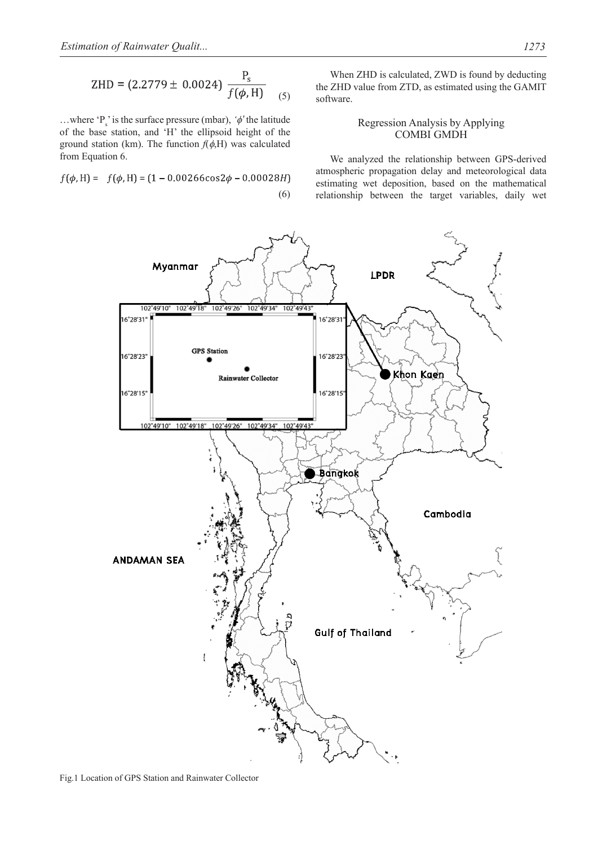$$
ZHD = (2.2779 \pm 0.0024) \frac{P_s}{f(\phi, H)}
$$
 (5)

...where  ${}^{'}P_s$  is the surface pressure (mbar),  $\phi'$  the latitude of the base station, and 'H' the ellipsoid height of the ground station (km). The function  $f(\phi,H)$  was calculated from Equation 6.

$$
f(\phi, H) = f(\phi, H) = (1 - 0.00266 \cos 2\phi - 0.00028H)
$$
\n(6)

When ZHD is calculated, ZWD is found by deducting the ZHD value from ZTD, as estimated using the GAMIT software.

# Regression Analysis by Applying COMBI GMDH

We analyzed the relationship between GPS-derived atmospheric propagation delay and meteorological data estimating wet deposition, based on the mathematical relationship between the target variables, daily wet

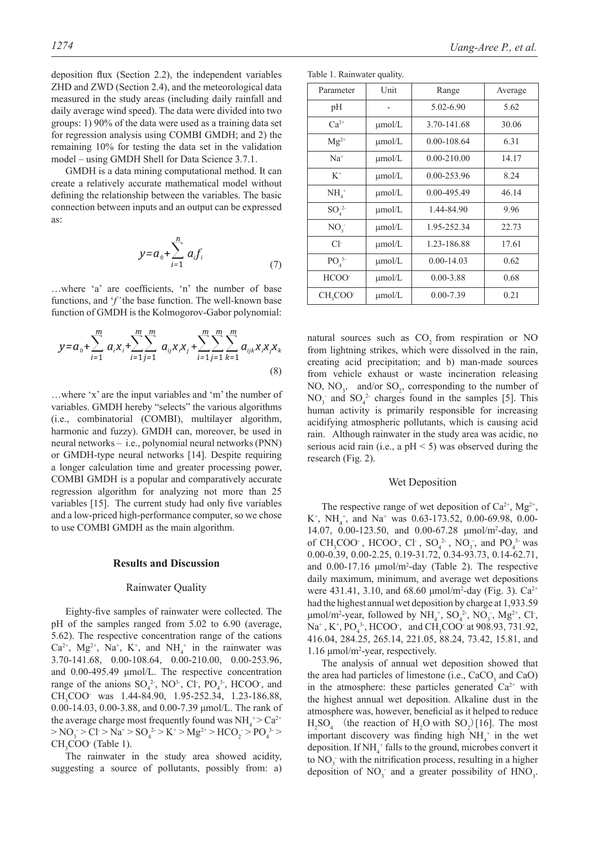deposition flux (Section 2.2), the independent variables ZHD and ZWD (Section 2.4), and the meteorological data measured in the study areas (including daily rainfall and daily average wind speed). The data were divided into two groups: 1) 90% of the data were used as a training data set for regression analysis using COMBI GMDH; and 2) the remaining 10% for testing the data set in the validation model – using GMDH Shell for Data Science 3.7.1.

GMDH is a data mining computational method. It can create a relatively accurate mathematical model without defining the relationship between the variables. The basic connection between inputs and an output can be expressed as:

$$
y = a_0 + \sum_{i=1}^{n} a_i f_i
$$
 (7)

...where 'a' are coefficients, 'n' the number of base functions, and '*f'* the base function. The well-known base function of GMDH is the Kolmogorov-Gabor polynomial:

$$
y = a_0 + \sum_{i=1}^{m} a_i x_i + \sum_{i=1}^{m} \sum_{j=1}^{m} a_{ij} x_i x_j + \sum_{i=1}^{m} \sum_{j=1}^{m} \sum_{k=1}^{m} a_{ijk} x_i x_j x_k
$$
\n(8)

…where 'x' are the input variables and 'm' the number of variables. GMDH hereby "selects" the various algorithms (i.e., combinatorial (COMBI), multilayer algorithm, harmonic and fuzzy). GMDH can, moreover, be used in neural networks – i.e., polynomial neural networks (PNN) or GMDH-type neural networks [14]. Despite requiring a longer calculation time and greater processing power, COMBI GMDH is a popular and comparatively accurate regression algorithm for analyzing not more than 25 variables [15]. The current study had only five variables and a low-priced high-performance computer, so we chose to use COMBI GMDH as the main algorithm.

#### **Results and Discussion**

## Rainwater Quality

Eighty-five samples of rainwater were collected. The pH of the samples ranged from 5.02 to 6.90 (average, 5.62). The respective concentration range of the cations  $Ca^{2+}$ ,  $Mg^{2+}$ ,  $Na^{+}$ ,  $K^{+}$ , and  $NH_4^+$  in the rainwater was 3.70-141.68, 0.00-108.64, 0.00-210.00, 0.00-253.96, and 0.00-495.49 μmol/L. The respective concentration range of the anions  $SO_4^2$ , NO<sup>3</sup>, Cl, PO<sub>4</sub><sup>3</sup>, HCOO, and CH<sub>3</sub>COO was 1.44-84.90, 1.95-252.34, 1.23-186.88, 0.00-14.03, 0.00-3.88, and 0.00-7.39 μmol/L. The rank of the average charge most frequently found was  $NH_4^+> Ca^{2+}$  $> NO_3 > Cl > Na^+ > SO_4^{2-} > K^+ > Mg^{2+} > HCO_2 > PO_4^{3-} >$ CH<sub>3</sub>COO (Table 1).

The rainwater in the study area showed acidity, suggesting a source of pollutants, possibly from: a)

|  |  | Table 1. Rainwater quality. |  |
|--|--|-----------------------------|--|
|--|--|-----------------------------|--|

| Parameter                    | Unit        | Range           | Average |
|------------------------------|-------------|-----------------|---------|
| pH                           |             | 5.02-6.90       | 5.62    |
| $Ca^{2+}$                    | µmol/L      | 3.70-141.68     | 30.06   |
| $Mg^{2+}$                    | µmol/L      | $0.00 - 108.64$ | 6.31    |
| $Na+$                        | $\mu$ mol/L | $0.00 - 210.00$ | 14.17   |
| $K^+$                        | µmol/L      | 0.00-253.96     | 8.24    |
| $NH4$ <sup>+</sup>           | µmol/L      | 0.00-495.49     | 46.14   |
| $SO_4^2$                     | µmol/L      | 1.44-84.90      | 9.96    |
| NO <sub>3</sub>              | µmol/L      | 1.95-252.34     | 22.73   |
| $Cl^{\mathsf{-}}$            | $\mu$ mol/L | 1.23-186.88     | 17.61   |
| PO <sub>4</sub> <sup>3</sup> | µmol/L      | $0.00 - 14.03$  | 0.62    |
| HCOO <sup>-</sup>            | µmol/L      | $0.00 - 3.88$   | 0.68    |
| CH <sub>3</sub> COO          | µmol/L      | $0.00 - 7.39$   | 0.21    |

natural sources such as CO<sub>2</sub> from respiration or NO from lightning strikes, which were dissolved in the rain, creating acid precipitation; and b) man-made sources from vehicle exhaust or waste incineration releasing NO,  $NO_3$ , and/or  $SO_2$ , corresponding to the number of  $NO_3$  and  $SO_4^2$  charges found in the samples [5]. This human activity is primarily responsible for increasing acidifying atmospheric pollutants, which is causing acid rain. Although rainwater in the study area was acidic, no serious acid rain (i.e., a  $pH \le 5$ ) was observed during the research (Fig. 2).

## Wet Deposition

The respective range of wet deposition of  $Ca^{2+}$ ,  $Mg^{2+}$ ,  $K^+$ , NH<sub>4</sub><sup>+</sup>, and Na<sup>+</sup> was 0.63-173.52, 0.00-69.98, 0.00-14.07, 0.00-123.50, and 0.00-67.28 μmol/m2 -day, and of CH<sub>3</sub>COO<sup>-</sup>, HCOO<sup>-</sup>, Cl<sup>-</sup>, SO<sub>4</sub><sup>2</sup><sup>-</sup>, NO<sub>3</sub><sup>-</sup>, and PO<sub>4</sub><sup>3</sup><sup>-</sup> was 0.00-0.39, 0.00-2.25, 0.19-31.72, 0.34-93.73, 0.14-62.71, and  $0.00-17.16 \mu \text{mol/m}^2$ -day (Table 2). The respective daily maximum, minimum, and average wet depositions were 431.41, 3.10, and 68.60  $\mu$ mol/m<sup>2</sup>-day (Fig. 3). Ca<sup>2+</sup> had the highest annual wet deposition by charge at 1,933.59  $\mu$ mol/m<sup>2</sup>-year, followed by NH<sub>4</sub><sup>+</sup>, SO<sub>4</sub><sup>2</sup>, NO<sub>3</sub>, Mg<sup>2+</sup>, Cl<sup>-</sup>,  $Na^+$ ,  $K^+$ ,  $PO_4^{3-}$ ,  $HCOO^-$ , and  $CH_3COO^-$  at 908.93, 731.92, 416.04, 284.25, 265.14, 221.05, 88.24, 73.42, 15.81, and 1.16 μmol/m2 -year, respectively.

The analysis of annual wet deposition showed that the area had particles of limestone (i.e.,  $CaCO<sub>3</sub>$  and  $CaO$ ) in the atmosphere: these particles generated  $Ca^{2+}$  with the highest annual wet deposition. Alkaline dust in the atmosphere was, however, beneficial as it helped to reduce  $H_2SO_4$  (the reaction of  $H_2O$  with  $SO_2$ )[16]. The most important discovery was finding high  $NH<sub>4</sub><sup>+</sup>$  in the wet deposition. If  $NH_4^+$  falls to the ground, microbes convert it to  $NO<sub>3</sub>$  with the nitrification process, resulting in a higher deposition of  $NO_3^-$  and a greater possibility of  $HNO_3$ .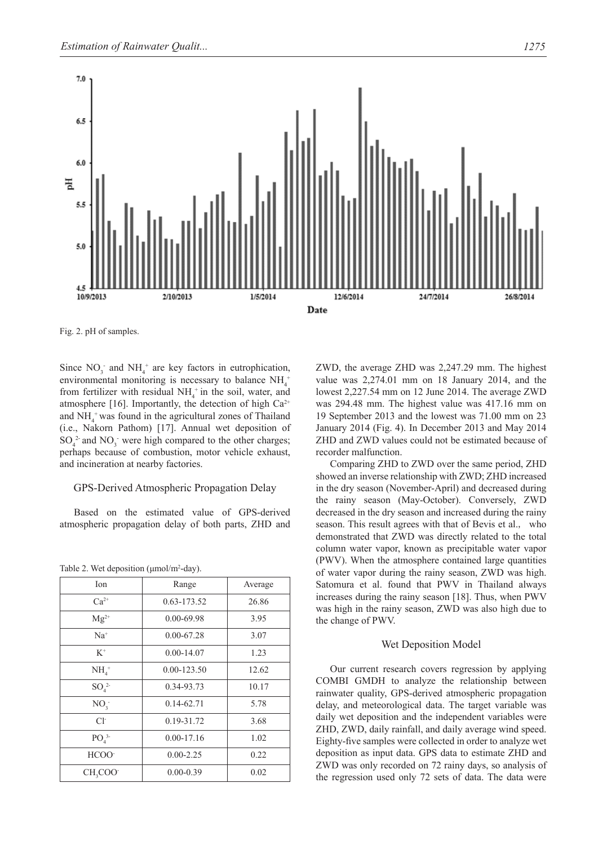

Fig. 2. pH of samples.

Since  $NO_3$  and  $NH_4$ <sup>+</sup> are key factors in eutrophication, environmental monitoring is necessary to balance  $NH_4^+$ from fertilizer with residual  $NH<sub>4</sub><sup>+</sup>$  in the soil, water, and atmosphere [16]. Importantly, the detection of high  $Ca^{2+}$ and  $NH_4$ <sup>+</sup> was found in the agricultural zones of Thailand (i.e., Nakorn Pathom) [17]. Annual wet deposition of  $SO_4^2$  and  $NO_3^-$  were high compared to the other charges; perhaps because of combustion, motor vehicle exhaust, and incineration at nearby factories.

# GPS-Derived Atmospheric Propagation Delay

Based on the estimated value of GPS-derived atmospheric propagation delay of both parts, ZHD and

| Ion                          | Range           | Average |
|------------------------------|-----------------|---------|
| $Ca^{2+}$                    | 0.63-173.52     | 26.86   |
| $Mg^{2+}$                    | $0.00 - 69.98$  | 3.95    |
| $Na+$                        | $0.00 - 67.28$  | 3.07    |
| $K^+$                        | $0.00 - 14.07$  | 1.23    |
| $NH4$ <sup>+</sup>           | $0.00 - 123.50$ | 12.62   |
| $SO_4^2$                     | 0.34-93.73      | 10.17   |
| $NO_{3}$                     | $0.14 - 62.71$  | 5.78    |
| $Cl-$                        | 0.19-31.72      | 3.68    |
| PO <sub>4</sub> <sup>3</sup> | $0.00 - 17.16$  | 1.02    |
| HCOO <sup>-</sup>            | $0.00 - 2.25$   | 0.22    |
| CH <sub>3</sub> COO-         | $0.00 - 0.39$   | 0.02    |
|                              |                 |         |

Table 2. Wet deposition  $(\mu \text{mol/m}^2$ -day).

ZWD, the average ZHD was 2,247.29 mm. The highest value was 2,274.01 mm on 18 January 2014, and the lowest 2,227.54 mm on 12 June 2014. The average ZWD was 294.48 mm. The highest value was 417.16 mm on 19 September 2013 and the lowest was 71.00 mm on 23 January 2014 (Fig. 4). In December 2013 and May 2014 ZHD and ZWD values could not be estimated because of recorder malfunction.

Comparing ZHD to ZWD over the same period, ZHD showed an inverse relationship with ZWD; ZHD increased in the dry season (November-April) and decreased during the rainy season (May-October). Conversely, ZWD decreased in the dry season and increased during the rainy season. This result agrees with that of Bevis et al., who demonstrated that ZWD was directly related to the total column water vapor, known as precipitable water vapor (PWV). When the atmosphere contained large quantities of water vapor during the rainy season, ZWD was high. Satomura et al. found that PWV in Thailand always increases during the rainy season [18]. Thus, when PWV was high in the rainy season, ZWD was also high due to the change of PWV.

## Wet Deposition Model

Our current research covers regression by applying COMBI GMDH to analyze the relationship between rainwater quality, GPS-derived atmospheric propagation delay, and meteorological data. The target variable was daily wet deposition and the independent variables were ZHD, ZWD, daily rainfall, and daily average wind speed. Eighty-five samples were collected in order to analyze wet deposition as input data. GPS data to estimate ZHD and ZWD was only recorded on 72 rainy days, so analysis of the regression used only 72 sets of data. The data were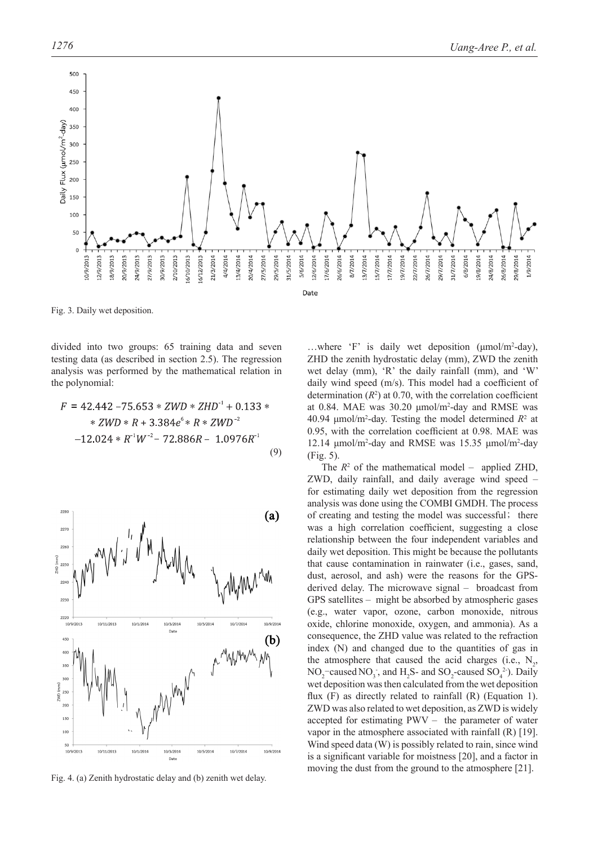

Fig. 3. Daily wet deposition.

divided into two groups: 65 training data and seven testing data (as described in section 2.5). The regression analysis was performed by the mathematical relation in the polynomial:

$$
F = 42.442 - 75.653 * ZWD * ZHD-1 + 0.133 *\n* ZWD * R + 3.384e6 * R * ZWD-2\n-12.024 * R-1W-2 - 72.886R - 1.0976R-1 (9)
$$



Fig. 4. (a) Zenith hydrostatic delay and (b) zenith wet delay.

...where 'F' is daily wet deposition (μmol/m<sup>2</sup>-day), ZHD the zenith hydrostatic delay (mm), ZWD the zenith wet delay (mm), 'R' the daily rainfall (mm), and 'W' daily wind speed  $(m/s)$ . This model had a coefficient of determination  $(R^2)$  at 0.70, with the correlation coefficient at 0.84. MAE was 30.20 μmol/m2 -day and RMSE was 40.94  $\mu$ mol/m<sup>2</sup>-day. Testing the model determined  $R^2$  at 0.95, with the correlation coefficient at  $0.98$ . MAE was 12.14 μmol/m<sup>2</sup>-day and RMSE was 15.35 μmol/m<sup>2</sup>-day (Fig. 5).

The  $R^2$  of the mathematical model – applied ZHD, ZWD, daily rainfall, and daily average wind speed – for estimating daily wet deposition from the regression analysis was done using the COMBI GMDH. The process of creating and testing the model was successful; there was a high correlation coefficient, suggesting a close relationship between the four independent variables and daily wet deposition. This might be because the pollutants that cause contamination in rainwater (i.e., gases, sand, dust, aerosol, and ash) were the reasons for the GPSderived delay. The microwave signal – broadcast from GPS satellites – might be absorbed by atmospheric gases (e.g., water vapor, ozone, carbon monoxide, nitrous oxide, chlorine monoxide, oxygen, and ammonia). As a consequence, the ZHD value was related to the refraction index (N) and changed due to the quantities of gas in the atmosphere that caused the acid charges (i.e.,  $N_2$ ,  $NO_2^-$ caused  $NO_3^-$ , and  $H_2S$ - and  $SO_2^-$ caused  $SO_4^2$ . Daily wet deposition was then calculated from the wet deposition flux  $(F)$  as directly related to rainfall  $(R)$  (Equation 1). ZWD was also related to wet deposition, as ZWD is widely accepted for estimating PWV – the parameter of water vapor in the atmosphere associated with rainfall (R) [19]. Wind speed data (W) is possibly related to rain, since wind is a significant variable for moistness [20], and a factor in moving the dust from the ground to the atmosphere [21].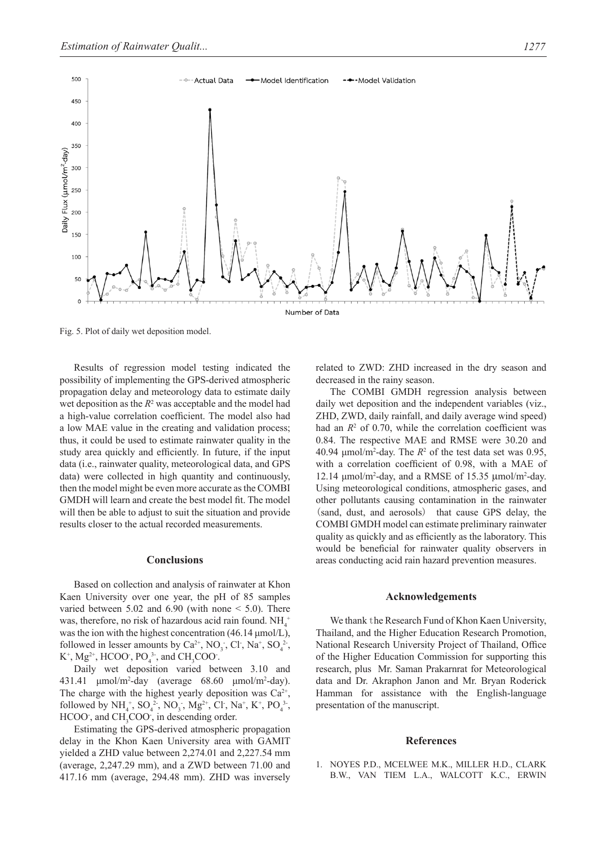

Fig. 5. Plot of daily wet deposition model.

Results of regression model testing indicated the possibility of implementing the GPS-derived atmospheric propagation delay and meteorology data to estimate daily wet deposition as the  $R^2$  was acceptable and the model had a high-value correlation coefficient. The model also had a low MAE value in the creating and validation process; thus, it could be used to estimate rainwater quality in the study area quickly and efficiently. In future, if the input data (i.e., rainwater quality, meteorological data, and GPS data) were collected in high quantity and continuously, then the model might be even more accurate as the COMBI GMDH will learn and create the best model fit. The model will then be able to adjust to suit the situation and provide results closer to the actual recorded measurements.

## **Conclusions**

Based on collection and analysis of rainwater at Khon Kaen University over one year, the pH of 85 samples varied between  $5.02$  and  $6.90$  (with none  $\leq 5.0$ ). There was, therefore, no risk of hazardous acid rain found.  $NH_4^+$ was the ion with the highest concentration (46.14 μmol/L), followed in lesser amounts by  $Ca^{2+}$ , NO<sub>3</sub>, Cl, Na<sup>+</sup>, SO<sub>4</sub><sup>2</sup>,  $K^+$ , Mg<sup>2+</sup>, HCOO<sup>-</sup>, PO<sub>4</sub><sup>3-</sup>, and CH<sub>3</sub>COO<sup>-</sup>.

Daily wet deposition varied between 3.10 and  $431.41 \, \mu$ mol/m<sup>2</sup>-day (average  $68.60 \, \mu$ mol/m<sup>2</sup>-day). The charge with the highest yearly deposition was  $Ca^{2+}$ , followed by  $NH_4^+$ ,  $SO_4^2$ <sup>-</sup>,  $NO_3$ ,  $Mg^{2+}$ , Cl,  $Na^+$ , K<sup>+</sup>,  $PO_4^3$ <sup>-</sup>, HCOO<sup>-</sup>, and CH<sub>3</sub>COO<sup>-</sup>, in descending order.

Estimating the GPS-derived atmospheric propagation delay in the Khon Kaen University area with GAMIT yielded a ZHD value between 2,274.01 and 2,227.54 mm (average, 2,247.29 mm), and a ZWD between 71.00 and 417.16 mm (average, 294.48 mm). ZHD was inversely

related to ZWD: ZHD increased in the dry season and decreased in the rainy season.

The COMBI GMDH regression analysis between daily wet deposition and the independent variables (viz., ZHD, ZWD, daily rainfall, and daily average wind speed) had an  $R<sup>2</sup>$  of 0.70, while the correlation coefficient was 0.84. The respective MAE and RMSE were 30.20 and 40.94  $\mu$ mol/m<sup>2</sup>-day. The  $R^2$  of the test data set was 0.95, with a correlation coefficient of 0.98, with a MAE of 12.14 μmol/m<sup>2</sup>-day, and a RMSE of 15.35 μmol/m<sup>2</sup>-day. Using meteorological conditions, atmospheric gases, and other pollutants causing contamination in the rainwater (sand, dust, and aerosols) that cause GPS delay, the COMBI GMDH model can estimate preliminary rainwater quality as quickly and as efficiently as the laboratory. This would be beneficial for rainwater quality observers in areas conducting acid rain hazard prevention measures.

#### **Acknowledgements**

We thank the Research Fund of Khon Kaen University, Thailand, and the Higher Education Research Promotion, National Research University Project of Thailand, Office of the Higher Education Commission for supporting this research, plus Mr. Saman Prakarnrat for Meteorological data and Dr. Akraphon Janon and Mr. Bryan Roderick Hamman for assistance with the English-language presentation of the manuscript.

## **References**

1. NOYES P.D., MCELWEE M.K., MILLER H.D., CLARK B.W., VAN TIEM L.A., WALCOTT K.C., ERWIN